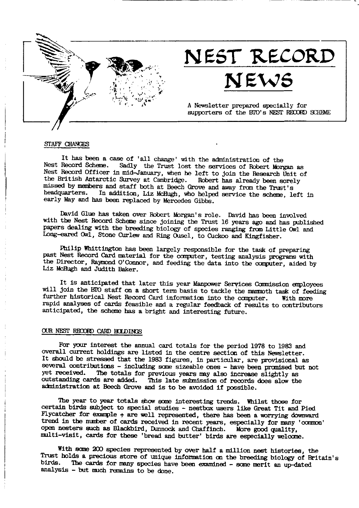

# NEST RECORD

# NEWS

A Newsletter prepared specially for supporters of the BTO's NEST RECORD SCHEME

#### STAFF CHANGES

It has been a case of 'all change' with the administration of the Nest Record Scheme. Sadly the Trust lost the services of Robert Morgan as Next Record Officer in mid-January, when he left to join the Research Unit of the British Antarctic Survey at Cambridge. Robert has already been sorely missed by members and staff both at Beech Grove and away from the Trust's headquarters. In addition, Liz McHugh, who helped service the scheme, left in early May and has been replaced by Mercedes Gibbs.

David Glue has taken over Robert Morgan's role. David has been involved with the Nest Record Scheme since joining the Trust 16 years ago and has published papers dealing with the breeding biology of species ranging from Little Owl and Long-eared Owl, Stone Curlew and Ring Ousel, to Cuckoo and Kingfisher.

Philip Whittington has been largely responsible for the task of preparing past Nest Record Card material for the computer, testing analysis programs with the Director, Raymond O'Connor, and feeding the data into the computer, aided by Liz McHugh and Judith Baker.

It is anticipated that later this year Manpower Services Commission employees will join the BIO staff on a short term basis to tackle the mammoth task of feeding further historical Nest Record Card information into the computer. With more rapid analyses of cards feasible and a regular feedback of results to contributors anticipated, the scheme has a bright and interesting future.

# OUR NEST RECORD CARD HOLDINGS

For your interest the annual card totals for the period 1978 to 1983 and overall current holdings are listed in the centre section of this Newsletter. It should be stressed that the 1983 figures, in particular, are provisional as several contributions - including some sizeable ones - have been promised but not yet received. The totals for previous years may also increase slightly as outstanding cards are added. This late submission of records does slow the administration at Beech Grove and is to be avoided if possible.

The year to year totals show some interesting trends. Whilst those for certain birds subject to special studies - nestbox users like Great Tit and Pied Flycatcher for example  $+$  are well represented, there has been a worrying downward trend in the number of cards received in recent years, especially for many 'common' open nesters such as Blackbird, Dunnock and Chaffinch. More good quality, multi-visit, cards for these 'bread and butter' birds are especially welcome.

With some 200 species represented by over half a million nest histories, the Trust holds a precious store of unique information on the breeding biology of Britain's birds. The cards for many species have been examined - some merit an up-dated analysis - but much remains to be done.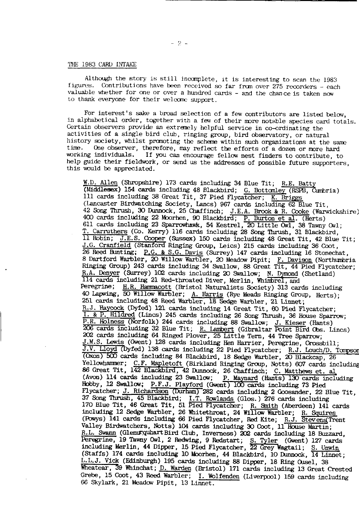#### THE 1983 CARD INTAKE

Although the story is still incomplete, it is interesting to scan the 1983 figures. Contributions have been received so far from over 275 recorders - each valuable whether for one or over a hundred cards - and the chance is taken now to thank everyone for their welcome support.

For interest's sake a broad selection of a few contributors are listed below, in alphabetical order, together with a few of their more notable species card totals. Certain observers provide an extremely helpful service in co-ordinating the activities of a single bird club, ringing group, bird observatory, or natural history society, whilst promoting the scheme within such organizations at the same One observer, therefore, may reflect the efforts of a dozen or more hard time. working individuals. If you can encourage fellow nest finders to contribute, to help guide their fieldwork, or send us the addresses of possible future supporters, this would be appreciated.

W.D. Allen (Shropshire) 173 cards including 34 Blue Tit; R.E. Batty (Middlesex) 154 cards including 48 Blackbird; G. Bottomley (RSPB, Cumbria) 111 cards including 38 Great Tit, 37 Pied Flycatcher; K. Briggs (Lancaster Birdwatching Society, Lancs) 967 cards including 62 Blue Tit, 42 Song Thrush, 30 Dunnock, 25 Chaffinch; J.E.A. Brook & R. Cooke (Warwickshire) 400 cards including 22 Moorhen, 90 Blackbird; P. Burton et al. (Herts) 611 cards including 23 Sparrowhawk, 54 Kestrel, 20 Little Owl, 38 Tawny Owl; T. Carruthers (Co. Kerry) 116 cards including 28 Song Thrush, 31 Blackbird, Il Robin; J.E.S. Cooper (Sussex) 150 cards including 48 Great Tit, 42 Blue Tit; J.G. Cranfield (Stanford Ringing Group, Leics) 215 cards including 36 Coot, 26 Reed Bunting; P.G. & S.G. Davis (Surrey) 147 cards including 16 Stonechat, 8 Dartford Warbler, 20 Willow Warbler, 20 Meadow Pipit; F. Davison (Northumbria Ringing Group) 243 cards including 34 Swallow, 88 Great Tit, 44 Pied Flycatcher; R.A. Denyer (Surrey) 102 cards including 20 Swallow; N. Dymond (Shetland) 114 cards including 21 Red-throated Diver, Merlin, Whimbrel, and Peregrine; H.R. Hammacott (Bristol Naturalists Society) 313 cards including 40 Lapwing, 50 Willow Warbler; A. Harris (Rye Meads Ringing Group, Herts); 251 cards including 48 Reed Warbler, 18 Sedge Warbler, 21 Linnet; R.J. Haycock (Dyfed) 121 cards including 14 Great Tit, 60 Pied Flycatcher; 1. & P. Hildred (Lincs) 245 cards including 26 Song Thrush, 36 House Sparrow; 1. R. Holness (Norfolk) 244 cards including 88 Swallow; J. Kieser (Hants)<br>206 cards including 32 Blue Tit; R. Lambert (Gibraltar Point Bird Obs. Lincs)<br>202 cards including 64 Ringed Ployer, 25 Little Tern, 44 Tree Sparrow; J.M.S. Lewis (Gwent) 128 cards including Hen Harrier, Peregrine, Crossbill; J.V. Lloyd (Dyfed) 138 cards including 22 Pied Flycatcher; R.J. Louch/D. Tompson (Oxon) 500 cards including 84 Blackbird, 18 Sedge Warbler, 20 Blackcap, 26 Yellowhammer; C.F. Mapletoft (Birkland Ringing Group, Notts) 607 cards including 86 Great Tit, 142 Blackbird, 42 Dunnock, 26 Chaffinch; C. Matthews et. al (Avon) 114 cards including 23 Swallow; P. Maynard (Hants) 130 cards including Hobby, 12 Swallow; P.F.J. Playford (Gwent) 100 cards including 73 Pied Flycatcher; J. Richardson (Durham) 282 cards including 2 Goosander, 22 Blue Tit, 37 Song Thrush, 45 Blackbird; I.T. Rowlands (Glos.) 276 cards including 170 Blue Tit, 46 Great Tit, 51 Pied Flycatcher; R. Smith (Aberdeen) 141 cards including 12 Sedge Warbler, 26 Whitethroat, 24 Willow Warbler; R. Squires (Powys) 141 cards including 66 Pied Flycatcher, Red Kite; R.J. Stevens Trent Valley Birdwatchers, Notts) 104 cards including 30 Coot, 11 House Martin; R.L. Swann (Glenurquhart Bird Club, Inverness) 202 cards including 18 Buzzard. Beregrine, 19 Tawny Owl, 2 Redwing, 9 Redstart; S. Tyler (Gwent) 127 cards<br>including Merlin, 44 Dipper, 15 Pied Flycatcher, 22 Grey Wagtail; S. Unwin<br>(Staffs) 174 cards including 10 Moorhen, 44 Blackbird, 10 Dunnock, 14 Li L.L.J. Vick (Edinburgh) 195 cards including 88 Dipper, 18 Ring Ouse1, 38 Wheatear, 39 Whinchat; D. Warden (Bristol) 171 cards including 13 Great Crested Grebe, 15 Coot, 43 Reed Warbler; I. Wolfenden (Liverpool) 159 cards including 66 Skylark, 21 Meadow Pipit, 13 Linnet.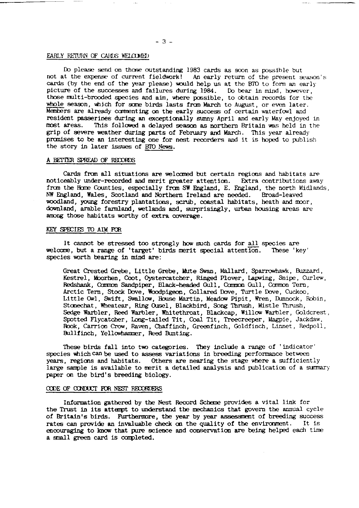# EARLY RETURN OF CARDS WELCOMED

Do please send on those outstanding 1983 cards as soon as possible but not at the expense of current fieldwork! An early return of the present season's cards (by the end of the year please) would help us at the BTO to form an early picture of the successes and failures during 1984. Do bear in mind, however, those multi-brooded species and aim, where possible, to obtain records for the whole season, which for some birds lasts from March to August, or even later. Members are already commenting on the early success of certain waterfowl and resident passerines during an exceptionally sumny April and early May enjoyed in most areas. This followed a delayed season as northern Britain was held in the grip of severe weather during parts of February and March. This year already promises to be an interesting one for nest recorders and it is hoped to publish the story in later issues of BTO News.

#### A BETTER SPREAD OF RECORDS

Cards from all situations are welcomed but certain regions and habitats are noticeably under-recorded and merit greater attention. Extra contributions away from the Home Counties, especially from SW England, E. England, the north Midlands, NW England, Wales, Scotland and Northern Ireland are needed. Broad-leaved woodland, young forestry plantations, scrub, coastal habitats, heath and moor, downland, arable farmland, wetlands and, surprisingly, urban housing areas are among those habitats worthy of extra coverage.

# KEY SPECIES TO AIM FOR

It cannot be stressed too strongly how much cards for all species are welcome, but a range of 'target' birds merit special attention. These 'key' species worth bearing in mind are:

Great Crested Grebe, Little Grebe, Matte Swan, Mallard, Sparrowhawk, Buzzard, Kestrel, Moorhen, Coot, Oystercatcher, Ringed Plover, Lapwing, Snipe, Curlew, Redshank, Common Sandpiper, Black-headed Gull, Common Gull, Common Tern, Arctic Tern, Stock Dove, Woodpigeon, Collared Dove, Turtle Dove, Cuckoo, Little Owl, Swift, Swallow, House Martin, Meadow Pipit, Wren, Dunnock, Robin, Stonechat, Wheatear, Ring Ousel, Blackbird, Song Thrush, Mistle Thrush, Sedge Warbler, Reed Warbler, Whitethroat, Blackcap, Willow Warbler, Goldcrest, Spotted Flycatcher, Long-tailed Tit, Coal Tit, Treecreeper, Magpie, Jackdaw, Rook, Carrion Crow, Raven, Chaffinch, Greenfinch, Goldfinch, Linnet, Redpoll, Bullfinch, Yellowhammer, Reed Bunting.

These birds fall into two categories. They include a range of 'indicator' species which can be used to assess variations in breeding performance between vears, regions and habitats. Others are nearing the stage where a sufficiently large sample is available to merit a detailed analysis and publication of a summary paper on the bird's breeding biology.

# CODE OF CONDUCT FOR NEST RECORDERS

Information gathered by the Nest Record Scheme provides a vital link for the Trust in its attempt to understand the mechanics that govern the annual cycle of Britain's birds. Furthermore, the year by year assessment of breeding success rates can provide an invaluable check on the quality of the environment. It is encouraging to know that pure science and conservation are being helped each time a small green card is completed.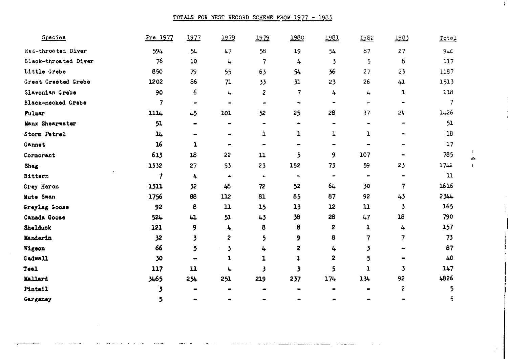TOTALS FOR NEST RECORD SCHEME FROM 1977 - 1983

| Species              | Pre 1977 | 1977                                                                                                                                              | 1978                         | 1979           | 1980                  | 1981           | 1982                     | 1983                                                                                                                                              | Total       |
|----------------------|----------|---------------------------------------------------------------------------------------------------------------------------------------------------|------------------------------|----------------|-----------------------|----------------|--------------------------|---------------------------------------------------------------------------------------------------------------------------------------------------|-------------|
| Red-throated Diver   | 594      | $54 -$                                                                                                                                            | 47                           | 58             | 19                    | 54             | 87                       | 27                                                                                                                                                | $9+C$       |
| Black-throated Diver | 76       | 10                                                                                                                                                | 4                            | 7              | 4                     | 3              | 5                        | 8                                                                                                                                                 | 117         |
| Little Grebe         | 850      | 79                                                                                                                                                | 55                           | 63             | 54                    | 36             | 27                       | 23                                                                                                                                                | 1187        |
| Great Crested Grebe  | 1202     | 86                                                                                                                                                | 71                           | 33             | 31                    | 23             | 26                       | 41                                                                                                                                                | 1513        |
| Slavonian Grebe      | 90       | 6                                                                                                                                                 | 4                            | 2              | 7                     | 4              | 4                        | 1                                                                                                                                                 | 118         |
| Black-necked Grebe   | 7        | $\hskip1.6pt\hskip1.6pt\hskip1.6pt\hskip1.6pt\hskip1.6pt\hskip1.6pt\hskip1.6pt\hskip1.6pt\hskip1.6pt\hskip1.6pt\hskip1.6pt\hskip1.6pt\hskip1.6pt$ | $\qquad \qquad$              | -              | -                     | -              | $\overline{\phantom{0}}$ |                                                                                                                                                   |             |
| Pulmar               | 1114     | 45                                                                                                                                                | 101                          | 52             | 25                    | 28             | 37                       | 24                                                                                                                                                | 1426        |
| Manx Shearwater      | 51       | -                                                                                                                                                 | $\blacksquare$               | $\blacksquare$ | $\bullet$             |                |                          |                                                                                                                                                   | 51          |
| Storm Petrel         | 14       |                                                                                                                                                   | $\bullet$                    | 1              | ı                     | ı              | ı                        |                                                                                                                                                   | 16          |
| Gannet               | 16       | ı                                                                                                                                                 | $\qquad \qquad \blacksquare$ |                |                       |                |                          |                                                                                                                                                   | 17          |
| Cormorant            | 613      | 18                                                                                                                                                | 22                           | 11             | 5                     | 9              | 107                      |                                                                                                                                                   | 785         |
| Shag                 | 1332     | 27                                                                                                                                                | 53                           | 23             | 152                   | 73             | 59                       | 23                                                                                                                                                | 1742        |
| Bittern              | 7        | 4                                                                                                                                                 | ۰                            | $\bullet$      | $\tilde{\phantom{a}}$ | $\overline{a}$ | -                        | $\hskip1.6pt\hskip1.6pt\hskip1.6pt\hskip1.6pt\hskip1.6pt\hskip1.6pt\hskip1.6pt\hskip1.6pt\hskip1.6pt\hskip1.6pt\hskip1.6pt\hskip1.6pt\hskip1.6pt$ | $\mathbf u$ |
| Grey Heron           | 1311     | 32                                                                                                                                                | 48                           | 72             | 52                    | 64             | 30                       | 7                                                                                                                                                 | 1616        |
| Mute Swan            | 1756     | 88                                                                                                                                                | 112                          | 81             | 85                    | 87             | 92                       | 43                                                                                                                                                | 2344        |
| Greylag Goose        | 92       | 8                                                                                                                                                 | 11                           | 15             | 13                    | 12             | 11                       | 3                                                                                                                                                 | 165         |
| Canada Goose         | 524      | 41                                                                                                                                                | 51                           | 43             | 38                    | 28             | 47                       | 18                                                                                                                                                | 790         |
| Shelduck             | 121      | 9                                                                                                                                                 | 4                            | 8              | 8                     | 2              | 1                        | 4                                                                                                                                                 | 157         |
| Mandarin             | 32       | 3                                                                                                                                                 | 2                            | 5              | 9                     | 8              | 7                        | 7                                                                                                                                                 | 73          |
| Wigcon               | 66       | 5                                                                                                                                                 | 3                            | 4              | 2                     | 4              | 3                        |                                                                                                                                                   | 87          |
| Gadwall              | 30       |                                                                                                                                                   | ı                            | ı              | ı                     | 2              | 5                        |                                                                                                                                                   | 40          |
| Teal                 | 117      | 11                                                                                                                                                | 4                            | 3              | 3                     | 5              | ı                        | 3                                                                                                                                                 | 147         |
| Mallard              | 5مىر     | 254                                                                                                                                               | 251                          | 219            | 237                   | 174            | 134                      | 92                                                                                                                                                | 4826        |
| Pintail              | 3        |                                                                                                                                                   |                              |                |                       |                |                          | 2                                                                                                                                                 | 5           |
| Garganey             | 5        |                                                                                                                                                   |                              |                |                       |                |                          |                                                                                                                                                   |             |

 $\mathbf{r}$ 

 $\mathbf{r}$ 

 $\mathbf{I}$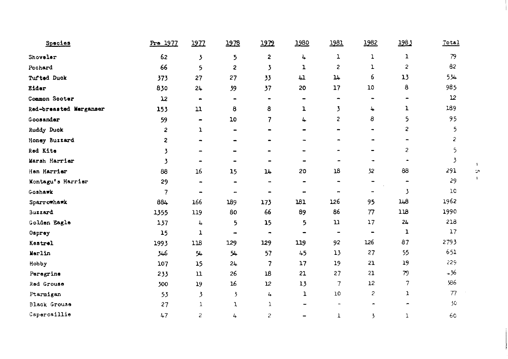| Species                | Pre 1977                 | 1977           | 1978                         | 1979                                                                                                                                              | 1980                     | 1981                         | 1982                                                                                                                                              | 1983                    | Total |
|------------------------|--------------------------|----------------|------------------------------|---------------------------------------------------------------------------------------------------------------------------------------------------|--------------------------|------------------------------|---------------------------------------------------------------------------------------------------------------------------------------------------|-------------------------|-------|
| Shoveler               | 62                       | 3              | 5                            | $\overline{2}$                                                                                                                                    | 4                        | ı                            | ı                                                                                                                                                 | 1                       | 79    |
| Pochard                | 66                       | 5              | 2                            | 3                                                                                                                                                 | ı                        | 2                            | ı                                                                                                                                                 | $\overline{\mathbf{c}}$ | 82    |
| Tufted Duck            | 373                      | 27             | 27                           | 33                                                                                                                                                | 41                       | $\mathfrak{u}$               | 6                                                                                                                                                 | 13                      | 534   |
| Eider                  | 830                      | 24             | 39                           | 37                                                                                                                                                | 20                       | 17                           | 10                                                                                                                                                | 8                       | 985   |
| Common Sooter          | 12                       | $\blacksquare$ | $\blacksquare$               | $\hskip1.6pt\hskip1.6pt\hskip1.6pt\hskip1.6pt\hskip1.6pt\hskip1.6pt\hskip1.6pt\hskip1.6pt\hskip1.6pt\hskip1.6pt\hskip1.6pt\hskip1.6pt\hskip1.6pt$ | $\hbox{ }$               | ۰                            |                                                                                                                                                   | -                       | 12    |
| Red-breasted Merganser | 153                      | 11             | 8                            | 8                                                                                                                                                 | ı                        | 3                            | 4                                                                                                                                                 | ı                       | 189   |
| Goosander              | 59                       | $\blacksquare$ | 10                           | 7                                                                                                                                                 | 4                        | $\overline{c}$               | 8                                                                                                                                                 | 5                       | 95    |
| Ruddy Duck             | $\mathbf{2}$             | ı              | $\overline{\phantom{0}}$     |                                                                                                                                                   |                          | $\qquad \qquad \blacksquare$ | $\hskip1.6pt\hskip1.6pt\hskip1.6pt\hskip1.6pt\hskip1.6pt\hskip1.6pt\hskip1.6pt\hskip1.6pt\hskip1.6pt\hskip1.6pt\hskip1.6pt\hskip1.6pt\hskip1.6pt$ | 2                       | 5     |
| Honey Buzzard          | 2                        | -              | $\qquad \qquad \blacksquare$ |                                                                                                                                                   |                          |                              |                                                                                                                                                   | $\blacksquare$          | 2     |
| Red Kite               | 3                        | -              |                              |                                                                                                                                                   |                          |                              |                                                                                                                                                   | 2                       | 5     |
| Marsh Harrier          | 3                        | $\blacksquare$ | -                            | -                                                                                                                                                 | $\blacksquare$           | ۰                            | $\blacksquare$                                                                                                                                    | ۰                       | 3     |
| Hen Harrier            | 88                       | 16             | 15                           | 14                                                                                                                                                | 20                       | ${\bf 18}$                   | 32                                                                                                                                                | 88                      | 291   |
| Montagu's Harrier      | 29                       | $\overline{a}$ | ۰                            | $\blacksquare$                                                                                                                                    | $\blacksquare$           | $\overline{\phantom{0}}$     | $\qquad \qquad \blacksquare$                                                                                                                      | -                       | 29    |
| Goshawk                | $\overline{\mathcal{L}}$ | $\blacksquare$ | $\overline{\phantom{a}}$     | -                                                                                                                                                 | -                        | $\blacksquare$               | $\overline{\phantom{0}}$                                                                                                                          | 3                       | 1C    |
| Sparrowhawk            | 884                      | 166            | 189                          | 173                                                                                                                                               | 181                      | 126                          | 95                                                                                                                                                | 148                     | 1962  |
| Buzzard                | 1355                     | 119            | 80                           | 66                                                                                                                                                | 89                       | 86                           | 77                                                                                                                                                | 118                     | 1990  |
| Golden Eagle           | 137                      | 4              | 5                            | 15                                                                                                                                                | 5                        | 11                           | 17                                                                                                                                                | 24                      | 218   |
| Osprey                 | 15                       | 1              | $\blacksquare$               | ۰                                                                                                                                                 | -                        | $\overline{\phantom{a}}$     | $\blacksquare$                                                                                                                                    | ı                       | 17    |
| Kestrel                | 1993                     | 118            | 129                          | 129                                                                                                                                               | 119                      | 92                           | 126                                                                                                                                               | 87                      | 2793  |
| Merlin                 | 346                      | 54             | 54                           | 57                                                                                                                                                | 45                       | 13                           | 27                                                                                                                                                | 55                      | 651   |
| Hobby                  | 107                      | 15             | 24                           | 7                                                                                                                                                 | 17                       | 19                           | 21                                                                                                                                                | 19                      | 229   |
| Peregrine              | 233                      | $\mathfrak u$  | 26                           | 18                                                                                                                                                | 21                       | 27                           | 21                                                                                                                                                | 79                      | $+36$ |
| Red Grouse             | 300                      | 19             | 16                           | 12                                                                                                                                                | 13                       | 7                            | 12                                                                                                                                                | 7                       | 386   |
| Ptarmigan              | 53                       | 3              | 3                            | 4                                                                                                                                                 | 1                        | 10                           | $\overline{c}$                                                                                                                                    | 1                       | 77    |
| Black Grouse           | 27                       | $\mathbf{1}$   | 1                            | $\mathbf{1}$                                                                                                                                      | $\overline{\phantom{a}}$ | $\overline{\phantom{a}}$     | -                                                                                                                                                 | $\blacksquare$          | 30    |
| Capercaillie           | 47                       | $\overline{c}$ | 4                            | $\overline{\mathcal{L}}$                                                                                                                          | $\overline{\phantom{a}}$ | T                            | $\overline{\mathbf{5}}$                                                                                                                           | ı                       | 60    |

 $\mathbf{A}$  $\frac{1}{\sqrt{2}}$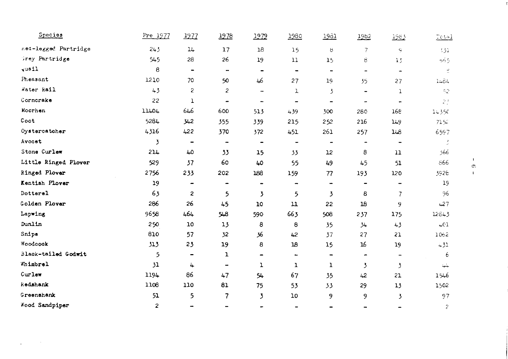| Species              | Pre 1977 | 1977                         | 1978                         | <u> 1979</u>                 | 1980                     | <u> 1981 </u>            | 1982                     | 1983                         | Tetal |
|----------------------|----------|------------------------------|------------------------------|------------------------------|--------------------------|--------------------------|--------------------------|------------------------------|-------|
| Red-legged Partridge | 243      | 14                           | 17                           | 18                           | 15                       | ୱ                        | 7                        | $\mathbf{G}$                 | 131   |
| Grey Partridge       | 545      | 28                           | 26                           | 19                           | 11                       | 1 <sub>5</sub>           | 8                        | 15                           | 565   |
| vuail                | 8        | $\qquad \qquad \blacksquare$ | -                            | $\qquad \qquad \blacksquare$ | $\blacksquare$           | $\tilde{}$               | $\qquad \qquad -$        | $\ddot{\phantom{1}}$         | 로     |
| Pheasant             | 1210     | 70                           | 50                           | 46                           | 27                       | 19                       | 35                       | 27                           | 1484  |
| Water Rail           | 43       | 2                            | $\overline{c}$               | -                            | 1                        | 3                        | -                        | 1                            | 52    |
| Cornorake            | 22       | $\mathbf 1$                  |                              | $\overline{\phantom{a}}$     | $\overline{\phantom{0}}$ | $\overline{\phantom{0}}$ | -                        |                              | 23    |
| Moorhen              | 11404    | 646                          | 600                          | 513                          | 439                      | 300                      | 280                      | 168                          | 14350 |
| Coot                 | 5284     | 342                          | 355                          | 339                          | 215                      | 252                      | 216                      | 149                          | 7152  |
| Oystercatcher        | 4316     | 422                          | 370                          | 372                          | 451                      | 261                      | 257                      | 148                          | 6597  |
| Avocet               | 3        | $\qquad \qquad \blacksquare$ | $\blacksquare$               | $\hbox{\small -}$            | $\overline{\phantom{a}}$ | $\overline{\phantom{a}}$ | $\overline{\phantom{a}}$ | $\qquad \qquad \blacksquare$ |       |
| Stone Curlew         | 214      | 40                           | 33                           | 15                           | 33                       | 12                       | 8                        | $\mathbf{u}$                 | 366   |
| Little Ringed Plover | 529      | 37                           | 60                           | 40                           | 55                       | 49                       | 45                       | 51                           | 566   |
| Ringed Plover        | 2756     | 233                          | 202                          | 188                          | 159                      | 77                       | 193                      | 120                          | 3926  |
| Kentish Plover       | 19       | -                            | $\blacksquare$               | -                            | -                        | $\blacksquare$           | $\blacksquare$           |                              | 19    |
| Dotterel             | 63       | 2                            | 5                            | 3                            | 5                        | 3                        | 8                        | 7                            | 96    |
| Golden Plover        | 286      | 26                           | 45                           | 10                           | $\mathbf{u}$             | 22                       | 18                       | 9                            | 427   |
| Lapwing              | 9658     | 464                          | 548                          | 590                          | 663                      | 508                      | 237                      | 175                          | 12643 |
| Dunlin               | 250      | 10                           | 13                           | 8                            | 8                        | 35                       | 34                       | 43                           | $+01$ |
| Snipe                | 810      | 57                           | 32                           | 36                           | 42                       | 37                       | 27                       | 21                           | 1062  |
| Woodcook             | 313      | 23                           | 19                           | 8                            | 18                       | 15                       | 16                       | 19                           | 431   |
| Black-tailed Godwit  | 5        | -                            | ı                            | $\qquad \qquad \blacksquare$ | -                        | -                        | ۰                        |                              | 6     |
| Whimbrel             | 31       | 4                            | $\qquad \qquad \blacksquare$ | ı                            | ı                        | ı                        | 3                        | 3                            | جلجة  |
| Curlew               | 1194     | 86                           | 47                           | 54                           | 67                       | 35                       | 42                       | 21                           | 46 ل  |
| kedshank             | 1108     | 110                          | 81                           | 75                           | 53                       | 33                       | 29                       | 13                           | 1502  |
| Greenshank           | 51       | 5                            | 7                            | 3                            | 10                       | 9                        | 9                        | 3                            | 97    |
| Wood Sandpiper       | 2        | $\rightarrow$                | $\qquad \qquad \blacksquare$ |                              |                          |                          |                          |                              | 2     |

 $\mathbf{r}$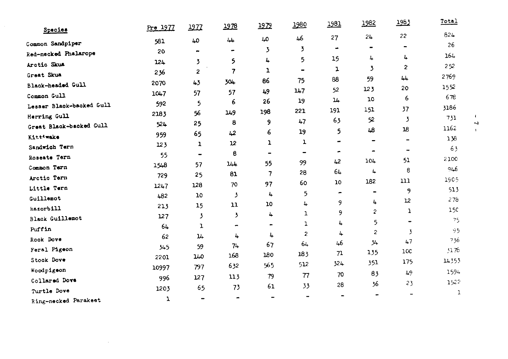| Species                  | Pre 1977 | 1977           | <u> 1978</u>    | 1979                     | 1980                     | <u> 1981</u> | 1982                    | 1983                     | Total |
|--------------------------|----------|----------------|-----------------|--------------------------|--------------------------|--------------|-------------------------|--------------------------|-------|
|                          |          | 40             | $\overline{44}$ | LO                       | 46                       | 27           | 24                      | 22                       | 824   |
| Common Sandpiper         | 581      |                | ۰               | 3                        | 3                        |              |                         | $\overline{\phantom{0}}$ | 26    |
| Red-necked Phalarope     | 20       |                |                 | 4                        | 5                        | 15           | 4                       | $\ddot{\phantom{a}}$     | 164   |
| Arctic Skus              | 124      | 3              | 5               | ı                        | $\overline{\phantom{0}}$ | ı            | 3                       | $\mathbf{z}$             | 252   |
| Great Skua               | 236      | 2              | $\overline{7}$  | 86                       | 75                       | 88           | 59                      | 44                       | 2769  |
| Black-headed Gull        | 2070     | 43             | 304             |                          | 147                      | 52           | 123                     | 20                       | 1552  |
| Common Gull              | 1047     | 57             | 57              | 49                       | 19                       | 14           | 10                      | 6                        | 678   |
| Lesser Black-backed Gull | 592      | 5              | 6               | 26                       |                          | 191          | 151                     | 37                       | 3186  |
| Herring Gull             | 2183     | 56             | 149             | 198                      | 221                      | 63           | 52                      | 3                        | 731   |
| Great Black-backed Gull  | 524      | 25             | 8               | 9                        | 47                       |              | 48                      | 18                       | 1162  |
| Kittiwake                | 959      | 65             | 42              | 6                        | 19                       | 5            |                         |                          | 156   |
| Sandwich Tern            | 123      | ı              | 12              | ı                        | ı                        |              |                         | $\overline{\phantom{a}}$ | 63    |
| Roseate Tern             | 55       | $\blacksquare$ | 8               | -                        | $\overline{\phantom{a}}$ | ۰            | ۰<br>104                | 51                       | 2100  |
| Common Tern              | 1548     | 57             | 144             | 55                       | 99                       | 42           |                         | 8                        | 946   |
| Arctic Tern              | 729      | 25             | 81              | $\overline{\phantom{a}}$ | 28                       | 64           | 4                       | 111                      | 1905  |
| Little Tern              | 1247     | 128            | 70              | 97                       | 60                       | 10           | 182                     | 9                        | 513   |
| Guillemot                | 482      | 10             | ۯ               | 4                        | 5                        | -            | $\blacksquare$          | 12                       | 278   |
| kazorbill                | 213      | 15             | 11              | 10                       | 4                        | 9            | 4                       | ı                        | 15C   |
| Black Cuillemot          | 127      | 3              | 3               | 4                        | 1                        | 9            | $\overline{\mathbf{c}}$ |                          | 75    |
| Puffin                   | 64       | ı              | $\blacksquare$  |                          | ı                        | 4            | 5                       | -                        | 95    |
| Rock Dove                | 62       | 14             | 4               | 4                        | 2                        | 4            | $\overline{c}$          | 3<br>47                  | 736   |
| Feral Pigeon             | 345      | 59             | $74 -$          | 67                       | 64                       | 46           | 34                      | 10C                      | 3176  |
| Stock Dove               | 2201     | 140            | 168             | 180                      | 183                      | 71           | 135                     |                          | 14353 |
| Woodpigeon               | 10997    | 797            | 632             | 565                      | 512                      | 324          | 351                     | 175                      |       |
| Collared Dove            | 996      | 127            | 113             | 79                       | 77                       | 70           | 83                      | 49                       | 1594  |
| Turtle Dove              | 1203     | 65             | 73              | 61                       | 33                       | 28           | 36                      | 23                       | 1522  |
| Ring-necked Parakeet     | ı        | -              |                 | -                        | $\overline{ }$           |              |                         |                          | ı     |

 $\mathcal{L}^{\mathcal{L}}$  and  $\mathcal{L}^{\mathcal{L}}$  and  $\mathcal{L}^{\mathcal{L}}$ 

 $\mathbf{I}$  $\sim$ 

 $\mathbf{I}$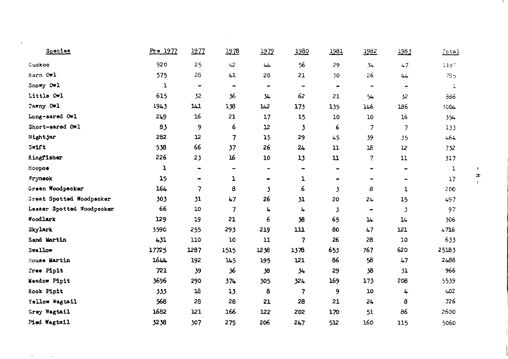| Species                   | Pre 1977 | 1977                     | 1978                         | 1979 | 1980                         | 1981           | 1982                     | 1983              | Total           |
|---------------------------|----------|--------------------------|------------------------------|------|------------------------------|----------------|--------------------------|-------------------|-----------------|
| Cuakoo                    | 920      | 25                       | 42                           | بلبة | 56                           | 29             | 34                       | 47                | 1197            |
| Barn Owl                  | 575      | 28                       | 41                           | 20   | 21                           | 30             | 26                       | 44                | 73 <sub>5</sub> |
| Snowy Owl                 | ı        | $\blacksquare$           | $\qquad \qquad \blacksquare$ | ۰    | $\qquad \qquad \blacksquare$ | $\blacksquare$ | $\overline{\phantom{a}}$ | $\hbox{\small -}$ | $\mathbf{1}$    |
| Little Owl                | 615      | 32                       | 36                           | 34   | 62                           | 21             | 54                       | 32                | 886             |
| Tawny Owl                 | 1943     | 141                      | 138                          | 142  | 173                          | 135            | 146                      | 186               | 3004            |
| Long-eared Owl            | 249      | 16                       | 21                           | 17   | 15                           | 10             | 10                       | 16                | $35 +$          |
| Short-eared Owl           | 83       | 9                        | 6                            | 12   | 3                            | 6              | $\overline{\phantom{a}}$ | $\overline{7}$    | 133             |
| Nightjar                  | 282      | 12                       | 7                            | 15   | 29                           | 45             | 39                       | 35                | 464             |
| Swift                     | 538      | 66                       | 37                           | 26   | 24                           | $\mathbf n$    | 18                       | 12                | 732             |
| Kingfisher                | 226      | 23                       | 16                           | 10   | 13                           | $\mathbf u$    | 7                        | 11                | 317             |
| Hoopoe                    | ı        | $\qquad \qquad$          | $\overline{\phantom{a}}$     | -    | -                            |                | -                        | -                 | ı               |
| Wryneok                   | 15       | $\blacksquare$           | ı                            | ۰    | ı                            |                | $\overline{\phantom{0}}$ |                   | $\overline{17}$ |
| Green Woodpecker          | 164      | $\overline{\phantom{a}}$ | 8                            | 3    | 6                            | 3              | 8                        | ı                 | 200             |
| Great Spotted Woodpecker  | 303      | 31                       | 47                           | 26   | 31                           | 20             | 24                       | 15                | 497             |
| Lesser Spotted Woodpecker | 66       | 10                       | $\overline{7}$               | 4    | 4                            | 3              | $\blacksquare$           | 3                 | 97              |
| Woodlark                  | 129      | 19                       | 21                           | 6    | 38                           | 65             | 14                       | 14                | 506             |
| Skylark                   | 3590     | 255                      | 293                          | 219  | 111                          | 80             | 47                       | 121               | 4716            |
| Sand Martin               | 431      | 110                      | 10                           | 11   | 7                            | 26             | 28                       | 10                | 633             |
| Swallow                   | 17725    | 1287                     | 1515                         | 1238 | 1378                         | 653            | 767                      | 620               | 25183           |
| House Martin              | 1644     | 192                      | 145                          | 195  | 121                          | 86             | 58                       | 47                | 2486            |
| Tree Pipit                | 721      | 39                       | 36                           | 38   | 34                           | 29             | 38                       | 31                | 966             |
| Meadow Pipit              | 3696     | 290                      | 374                          | 305  | 324                          | 169            | 173                      | 208               | 5539            |
| Rook Pipit                | 333      | 18                       | 13                           | 8    | $\overline{7}$               | 9              | 10                       | 4                 | 402             |
| Yellow Wagtail            | 568      | 28                       | 28                           | 21   | 28                           | 21             | 24                       | 8                 | 726             |
| Grey Wagtail              | 1682     | 121                      | 166                          | 122  | 202                          | 170            | 51                       | 86                | 2600            |
| Pied Wagtail              | 3238     | 307                      | 275                          | 206  | 247                          | 512            | 160                      | 115               | 5060            |

 $\mathbf{L}$  $\pmb{\mathcal{X}}$ 

 $\mathbf{L}$ 

 $\Delta\phi$  . The second  $\phi$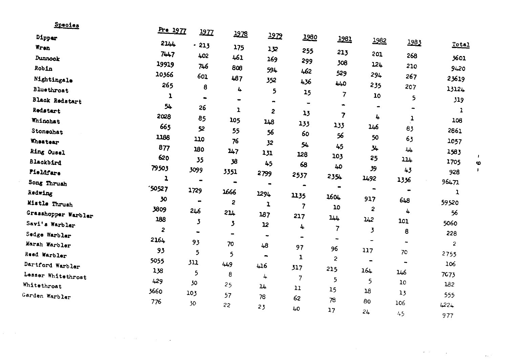| <u>opecies</u>        | Pre 1977    |                |                |                         |                          |                          |                          |                          |                |              |
|-----------------------|-------------|----------------|----------------|-------------------------|--------------------------|--------------------------|--------------------------|--------------------------|----------------|--------------|
| Dipper                |             | 1977           | <u> 1978</u>   | 1979                    | 1980                     | 1981                     | 1982                     |                          |                |              |
| Wren                  | 214         | $-213$         | 175            | 132                     | 255                      |                          |                          | <u> 1983</u>             | $Total$        |              |
| Dunnook               | 7447        | 402            | 461            | 169                     | 299                      | 213                      | 201                      | 268                      | 3601           |              |
| Robin                 | 19919       | 746            | 808            | 594                     | 462                      | 308                      | 124                      | 210                      | 9420           |              |
| Nightingale           | 10366       | 601            | 487            | 352                     | 436                      | 529                      | 294                      | 267                      | 23619          |              |
| Bluethroat            | 265         | 8              | 4              | 5                       | 15                       | 440                      | 235                      | 207                      | 13124          |              |
| <b>Black Redstart</b> | ı           | $\bullet$      | $\blacksquare$ |                         | $\blacksquare$           | 7                        | 10                       | 5                        | 319            |              |
| Redstart              | 54          | 26             | 1              | $\overline{c}$          | 13                       | $\blacksquare$           |                          |                          | $\mathbf{1}$   |              |
| Whinchat              | 2028        | 85             | 105            | 148                     | 133                      | 7                        | 4                        | 1                        | 106            |              |
| Stonechat             | 665         | 52             | 55             | 56                      | 60                       | 133<br>56                | 146                      | 83                       | 2861           |              |
| <b>Wheatear</b>       | 1188        | 110            | 76             | 32                      | 54                       |                          | 50                       | 63                       | 1057           |              |
| Ring Ousel            | 877         | 180            | 147            | 131                     | 128                      | 45<br>103                | 34                       | 44                       | 1583           | $\mathbf{I}$ |
| Blackbird             | 620         | 35             | 38             | 45                      | 68                       | 40                       | 25                       | 114                      | 1705           | $\bullet$    |
| Fieldfare             | 79503       | 3099           | 3351           | 2799                    | 2537                     | 2354                     | 39                       | 43                       | 928            | J.           |
| Song Thrush           | ı           | $\blacksquare$ | $\bullet$      |                         | $\blacksquare$           | -                        | 1492                     | 1336                     | 96471          |              |
| Redwing               | '50527      | 1729           | 1666           | 1294                    | 1135                     | 1604                     | $\blacksquare$           | $\blacksquare$           | 1              |              |
| Mistle Thrush         | 30          | $\blacksquare$ | $\overline{2}$ | ı                       | $\overline{\phantom{a}}$ | 10                       | 917                      | 648                      | 59520          |              |
| Grasshopper Warbler   | 3809        | 246            | 214            | 187                     | 217                      | 144                      | $\overline{2}$           | 4                        | 56             |              |
| Savi's Warbler        | 188         | 3              | 3              | 12                      | 4                        | 7                        | 142                      | 101                      | 5060           |              |
| Sedge Warbler         | 2           | ۰              | $\blacksquare$ | $\bullet$               | $\overline{\phantom{a}}$ | $\overline{\phantom{a}}$ | 3                        | 8                        | 228            |              |
| Marsh Warbler         | 2164        | 93             | 70             | 48                      | 97                       | 96                       | $\overline{\phantom{a}}$ | $\overline{\phantom{a}}$ | $\overline{2}$ |              |
| Reed Warbler          | 93          | 5              | 5              | $\qquad \qquad \bullet$ | 1                        | $\mathbf{z}$             | 117                      | 70                       | 2755           |              |
| Dartford Warbler      | 5055<br>138 | 311            | 449            | 416                     | 317                      | 215                      | $\blacksquare$<br>164    | ۰                        | 106            |              |
| Lesser Whitethroat    | 429         | 5              | 8              | 4                       | 7                        | 5                        | 5                        | 146                      | 7073           |              |
| Whitethroat           | 3660        | 30             | 25             | 14                      | 11                       | 15                       | 18                       | 10                       | 132            |              |
| Garden Warbler        | 776         | 103            | 57             | 78                      | 62                       | 78                       | 80                       | 13                       | 555            |              |
|                       |             | 30             | 22             | 23                      | 40                       | 17                       | 24                       | 106                      | 4224           |              |
|                       |             |                |                |                         |                          |                          |                          | 45                       | 977            |              |

 $\label{eq:1} \mathcal{L}^{(2)}(t) = \mathcal{L}^{(2)}(t) \left( \mathcal{L}^{(2)}(t) \right) \left( \mathcal{L}^{(2)}(t) \right)$ 

 $\mathcal{L}^{\mathcal{L}}(\mathcal{L}^{\mathcal{L}})$  and  $\mathcal{L}^{\mathcal{L}}(\mathcal{L}^{\mathcal{L}})$  and  $\mathcal{L}^{\mathcal{L}}(\mathcal{L}^{\mathcal{L}})$  and  $\mathcal{L}^{\mathcal{L}}(\mathcal{L}^{\mathcal{L}})$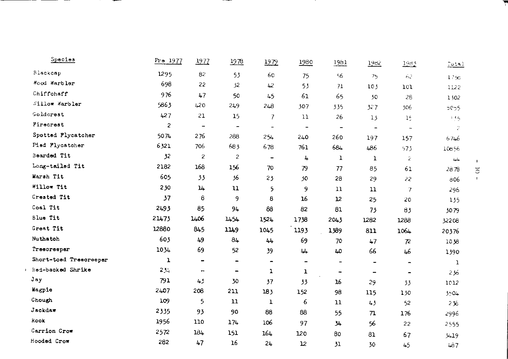| Species                | Pre 1977       | 1977                         | 1978                         | 1979                     | 1980                         | 1981                     | 1982                     | 1983                     | $T_{0.11}$        |
|------------------------|----------------|------------------------------|------------------------------|--------------------------|------------------------------|--------------------------|--------------------------|--------------------------|-------------------|
| Blackcap               | 1295           | 82                           | 53                           | 60                       | 75                           | 56                       | 75                       | 62                       | 17 <sub>2</sub>   |
| Mood Warbler           | 698            | 22                           | 32                           | 42                       | 53                           | 71                       | 10 <sub>3</sub>          | 101                      | 1122              |
| Chiffohaff             | 976            | 47                           | 50                           | 45                       | 61                           | 65                       | 50                       | 28                       | 1302              |
| Willow Warbler         | 5863           | 420                          | 249                          | 248                      | 307                          | 335                      | 327                      | 306                      | 5C <sub>2</sub> 5 |
| Goldcrest              | 427            | 21                           | 15                           | $\overline{7}$           | 11                           | 26                       | 13                       | 1 <sup>2</sup>           | 5.5               |
| Firecrest              | $\overline{c}$ | $\hbox{ }$                   | $\qquad \qquad \blacksquare$ | $\overline{\phantom{a}}$ | $\blacksquare$               | $\overline{\phantom{a}}$ | $\overline{\phantom{a}}$ | $\overline{\phantom{a}}$ | 2                 |
| Spotted Flycatcher     | 5074           | 276                          | 288                          | 254                      | 240                          | 260                      | 197                      | 157                      | 6746              |
| Pied Flycatcher        | 6321           | 706                          | 683                          | 678                      | 761                          | 684                      | 486                      | 573                      | 10656             |
| Bearded Tit            | 32             | $\overline{\mathbf{c}}$      | $\overline{\mathcal{L}}$     | $\overline{\phantom{a}}$ | 4                            | ı                        | $\mathbf{1}$             | 2                        | 44                |
| Long-tailed Tit        | 2182           | 168                          | 156                          | 70                       | 79                           | 77                       | 85                       | 61                       | 2878              |
| Marsh Tit              | 605            | 33                           | 36                           | 23                       | 30                           | 28                       | 29                       | 22                       | 806               |
| Willow Tit             | 230            | 14                           | $\mathbf{u}$                 | 5                        | 9                            | 11                       | 11                       | $\overline{7}$           | 296               |
| Crested Tit            | 37             | 8                            | 9                            | 8                        | 16                           | 12                       | 25                       | 20                       | 135               |
| Coal Tit               | 2493           | 85                           | 94                           | 88                       | 82                           | 81                       | 73                       | 83                       | 3079              |
| Blue Tit               | 21473          | 1406                         | 1454                         | 1524                     | 1738                         | 2043                     | 1282                     | 1288                     | 32208             |
| Great Tit              | 12880          | 845                          | 1149                         | 1045                     | 1193                         | 1389                     | 811                      | 1064                     | 20376             |
| Nuthatoh               | 603            | 49                           | 84                           | 44                       | 69                           | 70                       | 47                       | $\mathcal{R}$            | 1038              |
| Treecreeper            | 1034           | 69                           | 52                           | 39                       | 44                           | 40                       | 66                       | 46                       | 1390              |
| Short-toed Treeoreeper | ı              | $\qquad \qquad \blacksquare$ | $\blacksquare$               | $\blacksquare$           | $\qquad \qquad \blacksquare$ | $\blacksquare$           | -                        | $\overline{\phantom{a}}$ | ı                 |
| Red-backed Shrike      | 234            | ٠                            | $\qquad \qquad \blacksquare$ | ı                        | ı                            | $\overline{\phantom{a}}$ | $\overline{\phantom{a}}$ |                          | 236               |
| Jay                    | 791            | 45                           | 30                           | 37                       | 33                           | 16                       | 29                       | 33                       | 1012              |
| Magpie                 | 2407           | 208                          | 211                          | 183                      | 152                          | 98                       | 115                      | 130                      | 3504              |
| Chough                 | 109            | 5                            | $\mathbf{u}$                 | ı                        | 6                            | $\mathbf{1}$             | 43                       | 52                       | 236               |
| Jackdaw                | 2335           | 93                           | 90                           | 88                       | 88                           | 55                       | 71                       | 176                      | 2996              |
| Rook                   | 1956           | 110                          | 174                          | 106                      | 97                           | 34                       | 56                       | 22                       | 2555              |
| Carrion Crow           | 2572           | 184                          | 151                          | 164                      | 120                          | 80                       | 81                       | 67                       | 3419              |
| Hooded Crow            | 282            | 47                           | 16                           | 24                       | 12                           | 31                       | 30                       | 45                       | 487               |

 $-$ 

and the contract of the con-

\_\_\_

 $-$ 

\_

 $\frac{1}{2}$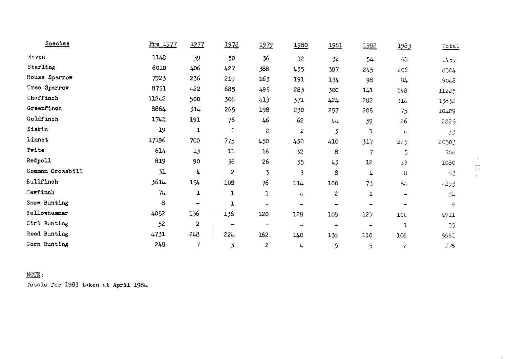| Species          | Pre 1977 | 1977                     | 1978                     | 1979                     | 1980 | 1981                         | 1982 | 1983           | Total |
|------------------|----------|--------------------------|--------------------------|--------------------------|------|------------------------------|------|----------------|-------|
| Raven            | 1148     | 39                       | 50                       | 36                       | 32   | 32                           | 54   | 68             | 1459  |
| Starling         | 6010     | 406                      | 427                      | 388                      | 435  | 387                          | 245  | 206            | 8504  |
| House Sparrow    | 7923     | 236                      | 219                      | 163                      | 191  | 134                          | 98   | 84             | 9048  |
| Tree Sparrow     | 8751     | 422                      | 685                      | 495                      | 283  | 300                          | 141  | 148            | 11225 |
| Chaffinch        | 11242    | 500                      | 306                      | 413                      | 371  | 424                          | 282  | 314            | 13852 |
| Greenfinch       | 8864     | 314                      | 265                      | 198                      | 230  | 257                          | 205  | 75             | 10409 |
| Goldfinch        | 1741     | 191                      | 76                       | 46                       | 62   | 44                           | 39   | 26             | 2225  |
| Siskin           | 19       | ı                        | 1                        | $\overline{c}$           | 2    | 3                            | ı    | 4              | 33    |
| Linnet           | 17196    | 700                      | 775                      | 450                      | 430  | 410                          | 317  | 225            | 20503 |
| Twite            | 614      | 13                       | 11                       | 16                       | 32   | 8                            | 7    | 5              | 706   |
| Redpoll          | 819      | 90                       | 36                       | 26                       | 35   | 43                           | 12   | $+3$           | 1060  |
| Common Crossbill | 31       | 4                        | $\overline{c}$           | 3                        | 3    | 8                            | 4    | 8              | 53    |
| Bullfinch        | 3614     | 154                      | 108                      | 76                       | 114  | 100                          | 73   | 54             | 4293  |
| Hawfinch         | 74       | ı                        | ı                        | ı                        | 4    | 2                            | ı    | $\blacksquare$ | 34    |
| Snow Bunting     | 8        | $\overline{\phantom{0}}$ | ı                        | $\overline{\phantom{a}}$ | -    | $\qquad \qquad \blacksquare$ | -    | $\blacksquare$ | ٩     |
| Yellowhammer     | 4052     | 136                      | 136                      | 120                      | 128  | 108                          | 127  | 104            | 4911  |
| Cirl Bunting     | 52       | $\overline{\mathbf{c}}$  | $\overline{\phantom{0}}$ | $\overline{\phantom{a}}$ |      | -                            |      | 1              | 55    |
| Reed Bunting     | 4731     | 248                      | 224                      | 162                      | 140  | 138                          | 110  | 108            | 5861  |
| Corn Bunting     | 248      | 7                        | 3                        | $\overline{\mathbf{c}}$  | 4    | 5                            | 5    | 2              | 276   |

 $NOTE:$ 

Totals for 1983 taken at April 1984

 $\lambda$  $\Xi$ 

 $\bar{z}$ 

 $\mathbf{r}$